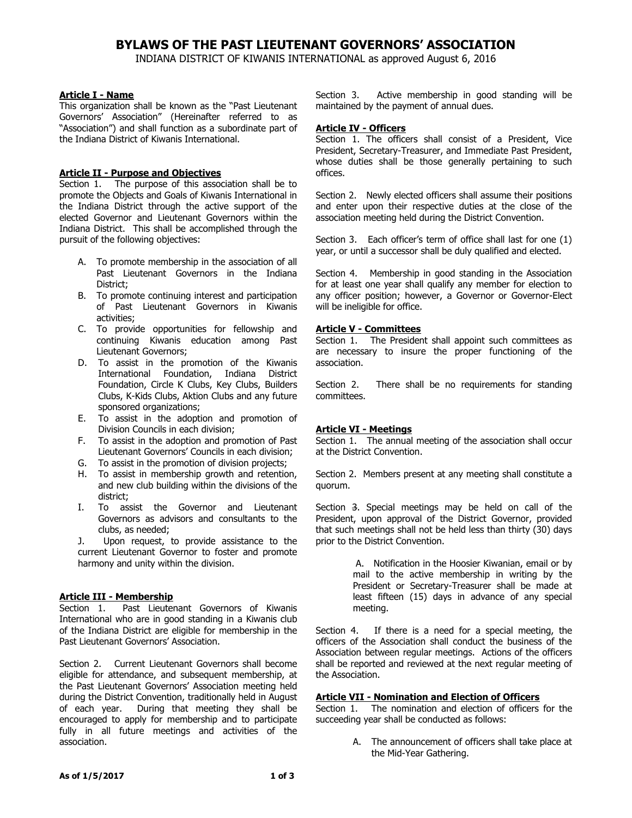# **BYLAWS OF THE PAST LIEUTENANT GOVERNORS' ASSOCIATION**

INDIANA DISTRICT OF KIWANIS INTERNATIONAL as approved August 6, 2016

### **Article I - Name**

This organization shall be known as the "Past Lieutenant Governors' Association" (Hereinafter referred to as "Association") and shall function as a subordinate part of the Indiana District of Kiwanis International.

### **Article II - Purpose and Objectives**

Section 1. The purpose of this association shall be to promote the Objects and Goals of Kiwanis International in the Indiana District through the active support of the elected Governor and Lieutenant Governors within the Indiana District. This shall be accomplished through the pursuit of the following objectives:

- A. To promote membership in the association of all Past Lieutenant Governors in the Indiana District;
- B. To promote continuing interest and participation of Past Lieutenant Governors in Kiwanis activities;
- C. To provide opportunities for fellowship and continuing Kiwanis education among Past Lieutenant Governors;
- D. To assist in the promotion of the Kiwanis International Foundation, Indiana District Foundation, Circle K Clubs, Key Clubs, Builders Clubs, K-Kids Clubs, Aktion Clubs and any future sponsored organizations;
- E. To assist in the adoption and promotion of Division Councils in each division;
- F. To assist in the adoption and promotion of Past Lieutenant Governors' Councils in each division;
- G. To assist in the promotion of division projects;
- H. To assist in membership growth and retention, and new club building within the divisions of the district;
- I. To assist the Governor and Lieutenant Governors as advisors and consultants to the clubs, as needed;
- J. Upon request, to provide assistance to the current Lieutenant Governor to foster and promote harmony and unity within the division.

## **Article III - Membership**

Section 1. Past Lieutenant Governors of Kiwanis International who are in good standing in a Kiwanis club of the Indiana District are eligible for membership in the Past Lieutenant Governors' Association.

Section 2. Current Lieutenant Governors shall become eligible for attendance, and subsequent membership, at the Past Lieutenant Governors' Association meeting held during the District Convention, traditionally held in August of each year. During that meeting they shall be encouraged to apply for membership and to participate fully in all future meetings and activities of the association.

Section 3. Active membership in good standing will be maintained by the payment of annual dues.

### **Article IV - Officers**

Section 1. The officers shall consist of a President, Vice President, Secretary-Treasurer, and Immediate Past President, whose duties shall be those generally pertaining to such offices.

Section 2. Newly elected officers shall assume their positions and enter upon their respective duties at the close of the association meeting held during the District Convention.

Section 3. Each officer's term of office shall last for one (1) year, or until a successor shall be duly qualified and elected.

Section 4. Membership in good standing in the Association for at least one year shall qualify any member for election to any officer position; however, a Governor or Governor-Elect will be ineligible for office.

#### **Article V - Committees**

Section 1. The President shall appoint such committees as are necessary to insure the proper functioning of the association.

Section 2. There shall be no requirements for standing committees.

## **Article VI - Meetings**

Section 1. The annual meeting of the association shall occur at the District Convention.

Section 2. Members present at any meeting shall constitute a quorum.

Section 3. Special meetings may be held on call of the President, upon approval of the District Governor, provided that such meetings shall not be held less than thirty (30) days prior to the District Convention.

> A. Notification in the Hoosier Kiwanian, email or by mail to the active membership in writing by the President or Secretary-Treasurer shall be made at least fifteen (15) days in advance of any special meeting.

Section 4. If there is a need for a special meeting, the officers of the Association shall conduct the business of the Association between regular meetings. Actions of the officers shall be reported and reviewed at the next regular meeting of the Association.

## **Article VII - Nomination and Election of Officers**

Section 1. The nomination and election of officers for the succeeding year shall be conducted as follows:

> A. The announcement of officers shall take place at the Mid-Year Gathering.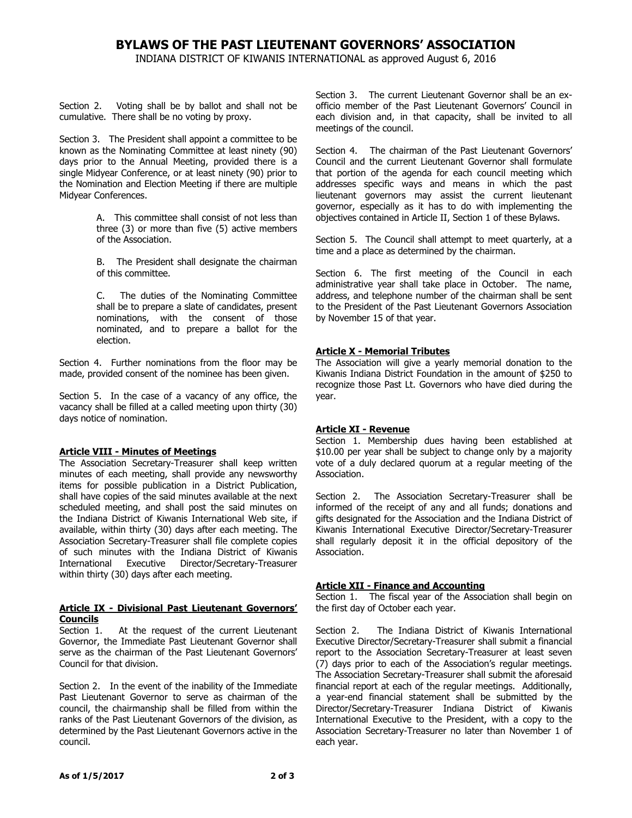## **BYLAWS OF THE PAST LIEUTENANT GOVERNORS' ASSOCIATION**

INDIANA DISTRICT OF KIWANIS INTERNATIONAL as approved August 6, 2016

Section 2. Voting shall be by ballot and shall not be cumulative. There shall be no voting by proxy.

Section 3. The President shall appoint a committee to be known as the Nominating Committee at least ninety (90) days prior to the Annual Meeting, provided there is a single Midyear Conference, or at least ninety (90) prior to the Nomination and Election Meeting if there are multiple Midyear Conferences.

> A. This committee shall consist of not less than three (3) or more than five (5) active members of the Association.

> B. The President shall designate the chairman of this committee.

C. The duties of the Nominating Committee shall be to prepare a slate of candidates, present nominations, with the consent of those nominated, and to prepare a ballot for the election.

Section 4. Further nominations from the floor may be made, provided consent of the nominee has been given.

Section 5. In the case of a vacancy of any office, the vacancy shall be filled at a called meeting upon thirty (30) days notice of nomination.

#### **Article VIII - Minutes of Meetings**

The Association Secretary-Treasurer shall keep written minutes of each meeting, shall provide any newsworthy items for possible publication in a District Publication, shall have copies of the said minutes available at the next scheduled meeting, and shall post the said minutes on the Indiana District of Kiwanis International Web site, if available, within thirty (30) days after each meeting. The Association Secretary-Treasurer shall file complete copies of such minutes with the Indiana District of Kiwanis International Executive Director/Secretary-Treasurer within thirty (30) days after each meeting.

#### **Article IX - Divisional Past Lieutenant Governors' Councils**

Section 1. At the request of the current Lieutenant Governor, the Immediate Past Lieutenant Governor shall serve as the chairman of the Past Lieutenant Governors' Council for that division.

Section 2. In the event of the inability of the Immediate Past Lieutenant Governor to serve as chairman of the council, the chairmanship shall be filled from within the ranks of the Past Lieutenant Governors of the division, as determined by the Past Lieutenant Governors active in the council.

Section 3. The current Lieutenant Governor shall be an exofficio member of the Past Lieutenant Governors' Council in each division and, in that capacity, shall be invited to all meetings of the council.

Section 4. The chairman of the Past Lieutenant Governors' Council and the current Lieutenant Governor shall formulate that portion of the agenda for each council meeting which addresses specific ways and means in which the past lieutenant governors may assist the current lieutenant governor, especially as it has to do with implementing the objectives contained in Article II, Section 1 of these Bylaws.

Section 5. The Council shall attempt to meet quarterly, at a time and a place as determined by the chairman.

Section 6. The first meeting of the Council in each administrative year shall take place in October. The name, address, and telephone number of the chairman shall be sent to the President of the Past Lieutenant Governors Association by November 15 of that year.

#### **Article X - Memorial Tributes**

The Association will give a yearly memorial donation to the Kiwanis Indiana District Foundation in the amount of \$250 to recognize those Past Lt. Governors who have died during the year.

## **Article XI - Revenue**

Section 1. Membership dues having been established at \$10.00 per year shall be subject to change only by a majority vote of a duly declared quorum at a regular meeting of the Association.

Section 2. The Association Secretary-Treasurer shall be informed of the receipt of any and all funds; donations and gifts designated for the Association and the Indiana District of Kiwanis International Executive Director/Secretary-Treasurer shall regularly deposit it in the official depository of the Association.

## **Article XII - Finance and Accounting**

Section 1. The fiscal year of the Association shall begin on the first day of October each year.

Section 2. The Indiana District of Kiwanis International Executive Director/Secretary-Treasurer shall submit a financial report to the Association Secretary-Treasurer at least seven (7) days prior to each of the Association's regular meetings. The Association Secretary-Treasurer shall submit the aforesaid financial report at each of the regular meetings. Additionally, a year-end financial statement shall be submitted by the Director/Secretary-Treasurer Indiana District of Kiwanis International Executive to the President, with a copy to the Association Secretary-Treasurer no later than November 1 of each year.